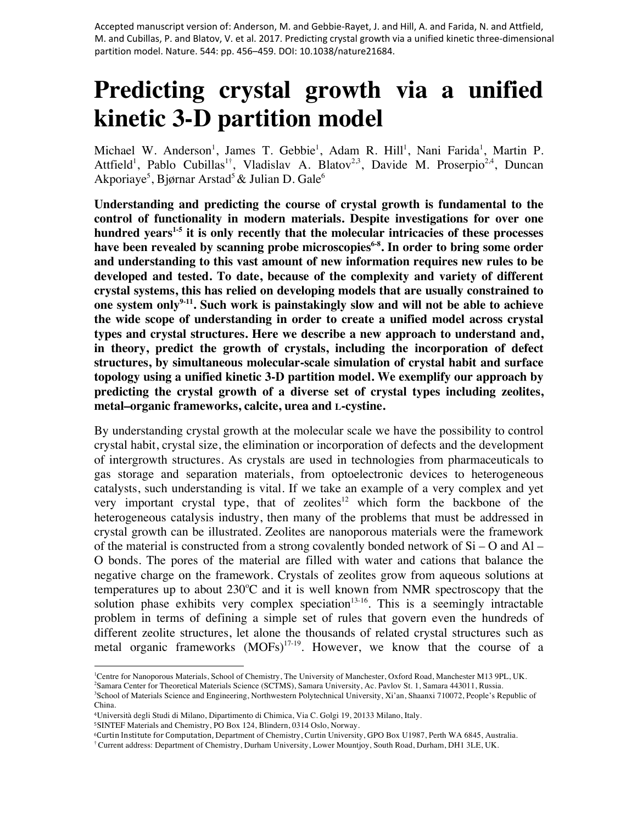Accepted manuscript version of: Anderson, M. and Gebbie-Rayet, J. and Hill, A. and Farida, N. and Attfield, M. and Cubillas, P. and Blatov, V. et al. 2017. Predicting crystal growth via a unified kinetic three-dimensional partition model. Nature. 544: pp. 456–459. DOI: 10.1038/nature21684.

# **Predicting crystal growth via a unified kinetic 3-D partition model**

Michael W. Anderson<sup>1</sup>, James T. Gebbie<sup>1</sup>, Adam R. Hill<sup>1</sup>, Nani Farida<sup>1</sup>, Martin P. Attfield<sup>1</sup>, Pablo Cubillas<sup>1†</sup>, Vladislav A. Blatov<sup>2,3</sup>, Davide M. Proserpio<sup>2,4</sup>, Duncan Akporiaye<sup>5</sup>, Bjørnar Arstad<sup>5</sup> & Julian D. Gale<sup>6</sup>

**Understanding and predicting the course of crystal growth is fundamental to the control of functionality in modern materials. Despite investigations for over one**  hundred vears<sup>1-5</sup> it is only recently that the molecular intricacies of these processes have been revealed by scanning probe microscopies<sup>6-8</sup>. In order to bring some order **and understanding to this vast amount of new information requires new rules to be developed and tested. To date, because of the complexity and variety of different crystal systems, this has relied on developing models that are usually constrained to**  one system only<sup>9-11</sup>. Such work is painstakingly slow and will not be able to achieve **the wide scope of understanding in order to create a unified model across crystal types and crystal structures. Here we describe a new approach to understand and, in theory, predict the growth of crystals, including the incorporation of defect structures, by simultaneous molecular-scale simulation of crystal habit and surface topology using a unified kinetic 3-D partition model. We exemplify our approach by predicting the crystal growth of a diverse set of crystal types including zeolites, metal–organic frameworks, calcite, urea and L-cystine.**

By understanding crystal growth at the molecular scale we have the possibility to control crystal habit, crystal size, the elimination or incorporation of defects and the development of intergrowth structures. As crystals are used in technologies from pharmaceuticals to gas storage and separation materials, from optoelectronic devices to heterogeneous catalysts, such understanding is vital. If we take an example of a very complex and yet very important crystal type, that of zeolites $12$  which form the backbone of the heterogeneous catalysis industry, then many of the problems that must be addressed in crystal growth can be illustrated. Zeolites are nanoporous materials were the framework of the material is constructed from a strong covalently bonded network of  $Si - O$  and  $Al -$ O bonds. The pores of the material are filled with water and cations that balance the negative charge on the framework. Crystals of zeolites grow from aqueous solutions at temperatures up to about  $230^{\circ}$ C and it is well known from NMR spectroscopy that the solution phase exhibits very complex speciation<sup>13-16</sup>. This is a seemingly intractable problem in terms of defining a simple set of rules that govern even the hundreds of different zeolite structures, let alone the thousands of related crystal structures such as metal organic frameworks  $(MOFs)^{17-19}$ . However, we know that the course of a

<sup>5</sup>SINTEF Materials and Chemistry, PO Box 124, Blindern, 0314 Oslo, Norway.

<sup>&</sup>lt;sup>1</sup>Centre for Nanoporous Materials, School of Chemistry, The University of Manchester, Oxford Road, Manchester M13 9PL, UK.

<sup>2</sup> Samara Center for Theoretical Materials Science (SCTMS), Samara University, Ac. Pavlov St. 1, Samara 443011, Russia. 3 School of Materials Science and Engineering, Northwestern Polytechnical University, Xi'an, Shaanxi 710072, People's Republic of China.

<sup>4</sup>Università degli Studi di Milano, Dipartimento di Chimica, Via C. Golgi 19, 20133 Milano, Italy.

<sup>&</sup>lt;sup>6</sup>Curtin Institute for Computation, Department of Chemistry, Curtin University, GPO Box U1987, Perth WA 6845, Australia.

<sup>†</sup> Current address: Department of Chemistry, Durham University, Lower Mountjoy, South Road, Durham, DH1 3LE, UK.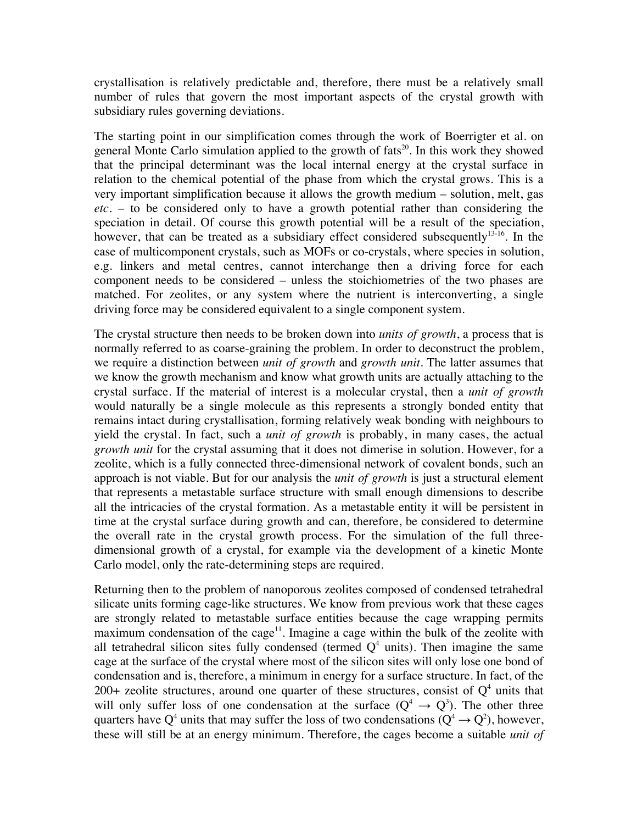crystallisation is relatively predictable and, therefore, there must be a relatively small number of rules that govern the most important aspects of the crystal growth with subsidiary rules governing deviations.

The starting point in our simplification comes through the work of Boerrigter et al. on general Monte Carlo simulation applied to the growth of  $fats^{20}$ . In this work they showed that the principal determinant was the local internal energy at the crystal surface in relation to the chemical potential of the phase from which the crystal grows. This is a very important simplification because it allows the growth medium – solution, melt, gas *etc.* – to be considered only to have a growth potential rather than considering the speciation in detail. Of course this growth potential will be a result of the speciation, however, that can be treated as a subsidiary effect considered subsequently<sup>13-16</sup>. In the case of multicomponent crystals, such as MOFs or co-crystals, where species in solution, e.g. linkers and metal centres, cannot interchange then a driving force for each component needs to be considered – unless the stoichiometries of the two phases are matched. For zeolites, or any system where the nutrient is interconverting, a single driving force may be considered equivalent to a single component system.

The crystal structure then needs to be broken down into *units of growth*, a process that is normally referred to as coarse-graining the problem. In order to deconstruct the problem, we require a distinction between *unit of growth* and *growth unit*. The latter assumes that we know the growth mechanism and know what growth units are actually attaching to the crystal surface. If the material of interest is a molecular crystal, then a *unit of growth* would naturally be a single molecule as this represents a strongly bonded entity that remains intact during crystallisation, forming relatively weak bonding with neighbours to yield the crystal. In fact, such a *unit of growth* is probably, in many cases, the actual *growth unit* for the crystal assuming that it does not dimerise in solution. However, for a zeolite, which is a fully connected three-dimensional network of covalent bonds, such an approach is not viable. But for our analysis the *unit of growth* is just a structural element that represents a metastable surface structure with small enough dimensions to describe all the intricacies of the crystal formation. As a metastable entity it will be persistent in time at the crystal surface during growth and can, therefore, be considered to determine the overall rate in the crystal growth process. For the simulation of the full threedimensional growth of a crystal, for example via the development of a kinetic Monte Carlo model, only the rate-determining steps are required.

Returning then to the problem of nanoporous zeolites composed of condensed tetrahedral silicate units forming cage-like structures. We know from previous work that these cages are strongly related to metastable surface entities because the cage wrapping permits maximum condensation of the cage<sup>11</sup>. Imagine a cage within the bulk of the zeolite with all tetrahedral silicon sites fully condensed (termed  $Q<sup>4</sup>$  units). Then imagine the same cage at the surface of the crystal where most of the silicon sites will only lose one bond of condensation and is, therefore, a minimum in energy for a surface structure. In fact, of the 200+ zeolite structures, around one quarter of these structures, consist of  $Q<sup>4</sup>$  units that will only suffer loss of one condensation at the surface  $(Q^4 \rightarrow Q^3)$ . The other three quarters have Q<sup>4</sup> units that may suffer the loss of two condensations ( $Q^4 \rightarrow Q^2$ ), however, these will still be at an energy minimum. Therefore, the cages become a suitable *unit of*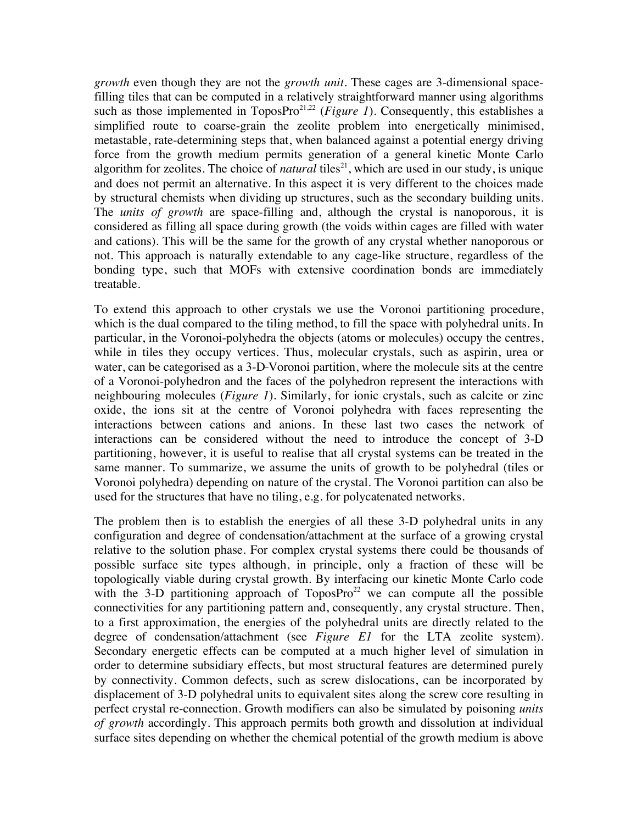*growth* even though they are not the *growth unit*. These cages are 3-dimensional spacefilling tiles that can be computed in a relatively straightforward manner using algorithms such as those implemented in ToposPro<sup>21,22</sup> (*Figure 1*). Consequently, this establishes a simplified route to coarse-grain the zeolite problem into energetically minimised, metastable, rate-determining steps that, when balanced against a potential energy driving force from the growth medium permits generation of a general kinetic Monte Carlo algorithm for zeolites. The choice of *natural* tiles<sup>21</sup>, which are used in our study, is unique and does not permit an alternative. In this aspect it is very different to the choices made by structural chemists when dividing up structures, such as the secondary building units. The *units of growth* are space-filling and, although the crystal is nanoporous, it is considered as filling all space during growth (the voids within cages are filled with water and cations). This will be the same for the growth of any crystal whether nanoporous or not. This approach is naturally extendable to any cage-like structure, regardless of the bonding type, such that MOFs with extensive coordination bonds are immediately treatable.

To extend this approach to other crystals we use the Voronoi partitioning procedure, which is the dual compared to the tiling method, to fill the space with polyhedral units. In particular, in the Voronoi-polyhedra the objects (atoms or molecules) occupy the centres, while in tiles they occupy vertices. Thus, molecular crystals, such as aspirin, urea or water, can be categorised as a 3-D-Voronoi partition, where the molecule sits at the centre of a Voronoi-polyhedron and the faces of the polyhedron represent the interactions with neighbouring molecules (*Figure 1*). Similarly, for ionic crystals, such as calcite or zinc oxide, the ions sit at the centre of Voronoi polyhedra with faces representing the interactions between cations and anions. In these last two cases the network of interactions can be considered without the need to introduce the concept of 3-D partitioning, however, it is useful to realise that all crystal systems can be treated in the same manner. To summarize, we assume the units of growth to be polyhedral (tiles or Voronoi polyhedra) depending on nature of the crystal. The Voronoi partition can also be used for the structures that have no tiling, e.g. for polycatenated networks.

The problem then is to establish the energies of all these 3-D polyhedral units in any configuration and degree of condensation/attachment at the surface of a growing crystal relative to the solution phase. For complex crystal systems there could be thousands of possible surface site types although, in principle, only a fraction of these will be topologically viable during crystal growth. By interfacing our kinetic Monte Carlo code with the 3-D partitioning approach of ToposPro<sup>22</sup> we can compute all the possible connectivities for any partitioning pattern and, consequently, any crystal structure. Then, to a first approximation, the energies of the polyhedral units are directly related to the degree of condensation/attachment (see *Figure E1* for the LTA zeolite system). Secondary energetic effects can be computed at a much higher level of simulation in order to determine subsidiary effects, but most structural features are determined purely by connectivity. Common defects, such as screw dislocations, can be incorporated by displacement of 3-D polyhedral units to equivalent sites along the screw core resulting in perfect crystal re-connection. Growth modifiers can also be simulated by poisoning *units of growth* accordingly. This approach permits both growth and dissolution at individual surface sites depending on whether the chemical potential of the growth medium is above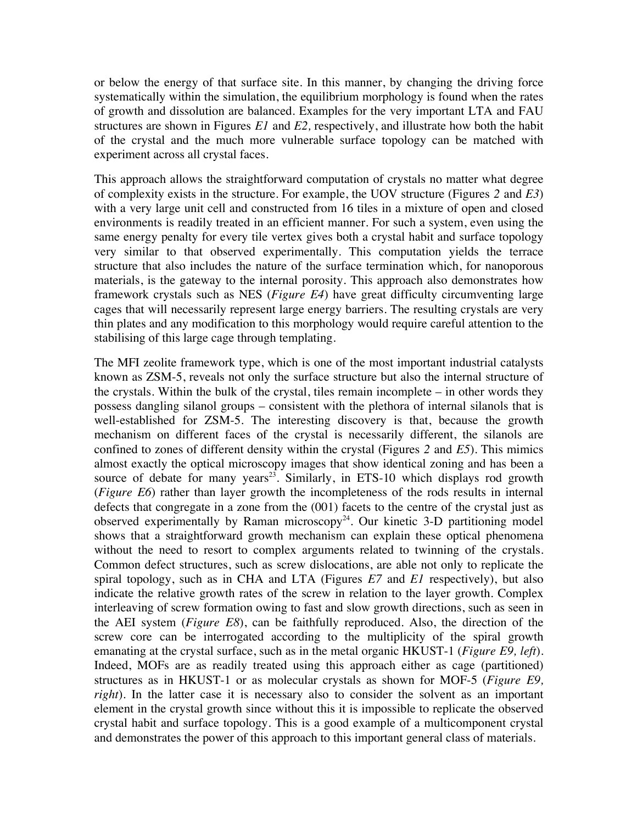or below the energy of that surface site. In this manner, by changing the driving force systematically within the simulation, the equilibrium morphology is found when the rates of growth and dissolution are balanced. Examples for the very important LTA and FAU structures are shown in Figures *E1* and *E2,* respectively, and illustrate how both the habit of the crystal and the much more vulnerable surface topology can be matched with experiment across all crystal faces.

This approach allows the straightforward computation of crystals no matter what degree of complexity exists in the structure. For example, the UOV structure (Figures *2* and *E3*) with a very large unit cell and constructed from 16 tiles in a mixture of open and closed environments is readily treated in an efficient manner. For such a system, even using the same energy penalty for every tile vertex gives both a crystal habit and surface topology very similar to that observed experimentally. This computation yields the terrace structure that also includes the nature of the surface termination which, for nanoporous materials, is the gateway to the internal porosity. This approach also demonstrates how framework crystals such as NES (*Figure E4*) have great difficulty circumventing large cages that will necessarily represent large energy barriers. The resulting crystals are very thin plates and any modification to this morphology would require careful attention to the stabilising of this large cage through templating.

The MFI zeolite framework type, which is one of the most important industrial catalysts known as ZSM-5, reveals not only the surface structure but also the internal structure of the crystals. Within the bulk of the crystal, tiles remain incomplete – in other words they possess dangling silanol groups – consistent with the plethora of internal silanols that is well-established for ZSM-5. The interesting discovery is that, because the growth mechanism on different faces of the crystal is necessarily different, the silanols are confined to zones of different density within the crystal (Figures *2* and *E5*). This mimics almost exactly the optical microscopy images that show identical zoning and has been a source of debate for many years<sup>23</sup>. Similarly, in ETS-10 which displays rod growth (*Figure E6*) rather than layer growth the incompleteness of the rods results in internal defects that congregate in a zone from the (001) facets to the centre of the crystal just as observed experimentally by Raman microscopy<sup>24</sup>. Our kinetic 3-D partitioning model shows that a straightforward growth mechanism can explain these optical phenomena without the need to resort to complex arguments related to twinning of the crystals. Common defect structures, such as screw dislocations, are able not only to replicate the spiral topology, such as in CHA and LTA (Figures *E7* and *E1* respectively), but also indicate the relative growth rates of the screw in relation to the layer growth. Complex interleaving of screw formation owing to fast and slow growth directions, such as seen in the AEI system (*Figure E8*), can be faithfully reproduced. Also, the direction of the screw core can be interrogated according to the multiplicity of the spiral growth emanating at the crystal surface, such as in the metal organic HKUST-1 (*Figure E9, left*). Indeed, MOFs are as readily treated using this approach either as cage (partitioned) structures as in HKUST-1 or as molecular crystals as shown for MOF-5 (*Figure E9, right*). In the latter case it is necessary also to consider the solvent as an important element in the crystal growth since without this it is impossible to replicate the observed crystal habit and surface topology. This is a good example of a multicomponent crystal and demonstrates the power of this approach to this important general class of materials.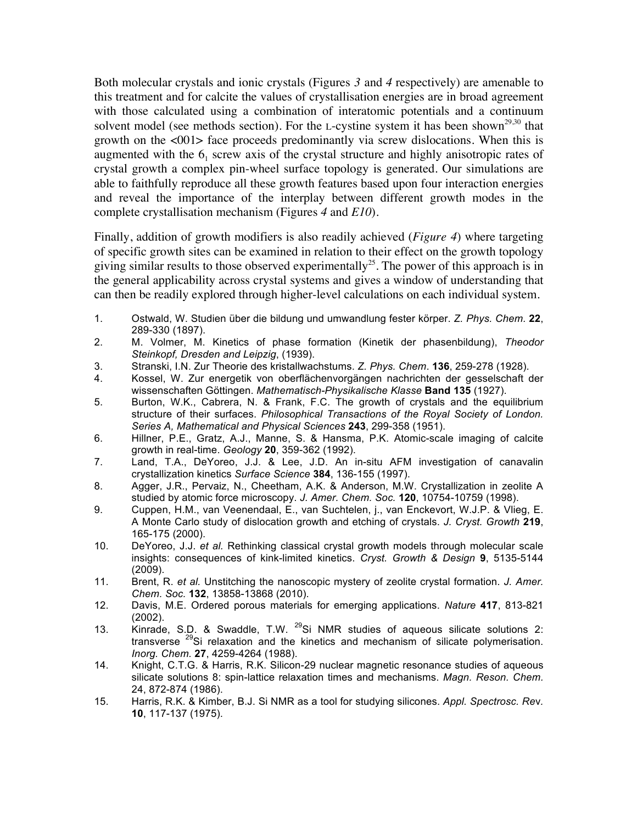Both molecular crystals and ionic crystals (Figures *3* and *4* respectively) are amenable to this treatment and for calcite the values of crystallisation energies are in broad agreement with those calculated using a combination of interatomic potentials and a continuum solvent model (see methods section). For the L-cystine system it has been shown<sup>29,30</sup> that growth on the <001> face proceeds predominantly via screw dislocations. When this is augmented with the  $6<sub>1</sub>$  screw axis of the crystal structure and highly anisotropic rates of crystal growth a complex pin-wheel surface topology is generated. Our simulations are able to faithfully reproduce all these growth features based upon four interaction energies and reveal the importance of the interplay between different growth modes in the complete crystallisation mechanism (Figures *4* and *E10*).

Finally, addition of growth modifiers is also readily achieved (*Figure 4*) where targeting of specific growth sites can be examined in relation to their effect on the growth topology giving similar results to those observed experimentally<sup>25</sup>. The power of this approach is in the general applicability across crystal systems and gives a window of understanding that can then be readily explored through higher-level calculations on each individual system.

- 1. Ostwald, W. Studien über die bildung und umwandlung fester körper. *Z. Phys. Chem.* **22**, 289-330 (1897).
- 2. M. Volmer, M. Kinetics of phase formation (Kinetik der phasenbildung), *Theodor Steinkopf, Dresden and Leipzig*, (1939).
- 3. Stranski, I.N. Zur Theorie des kristallwachstums. *Z. Phys. Chem*. **136**, 259-278 (1928).
- 4. Kossel, W. Zur energetik von oberflächenvorgängen nachrichten der gesselschaft der wissenschaften Göttingen. *Mathematisch-Physikalische Klasse* **Band 135** (1927).
- 5. Burton, W.K., Cabrera, N. & Frank, F.C. The growth of crystals and the equilibrium structure of their surfaces. *Philosophical Transactions of the Royal Society of London. Series A, Mathematical and Physical Sciences* **243**, 299-358 (1951).
- 6. Hillner, P.E., Gratz, A.J., Manne, S. & Hansma, P.K. Atomic-scale imaging of calcite growth in real-time. *Geology* **20**, 359-362 (1992).
- 7. Land, T.A., DeYoreo, J.J. & Lee, J.D. An in-situ AFM investigation of canavalin crystallization kinetics *Surface Science* **384**, 136-155 (1997).
- 8. Agger, J.R., Pervaiz, N., Cheetham, A.K. & Anderson, M.W. Crystallization in zeolite A studied by atomic force microscopy. *J. Amer. Chem. Soc.* **120**, 10754-10759 (1998).
- 9. Cuppen, H.M., van Veenendaal, E., van Suchtelen, j., van Enckevort, W.J.P. & Vlieg, E. A Monte Carlo study of dislocation growth and etching of crystals. *J. Cryst. Growth* **219**, 165-175 (2000).
- 10. DeYoreo, J.J. *et al.* Rethinking classical crystal growth models through molecular scale insights: consequences of kink-limited kinetics. *Cryst. Growth & Design* **9**, 5135-5144 (2009).
- 11. Brent, R. *et al.* Unstitching the nanoscopic mystery of zeolite crystal formation. *J. Amer. Chem. Soc.* **132**, 13858-13868 (2010).
- 12. Davis, M.E. Ordered porous materials for emerging applications. *Nature* **417**, 813-821 (2002).
- 13. Kinrade, S.D. & Swaddle, T.W. <sup>29</sup>Si NMR studies of aqueous silicate solutions 2: transverse  $^{29}$ Si relaxation and the kinetics and mechanism of silicate polymerisation. *Inorg. Chem.* **27**, 4259-4264 (1988).
- 14. Knight, C.T.G. & Harris, R.K. Silicon-29 nuclear magnetic resonance studies of aqueous silicate solutions 8: spin-lattice relaxation times and mechanisms. *Magn. Reson. Chem.*  24, 872-874 (1986).
- 15. Harris, R.K. & Kimber, B.J. Si NMR as a tool for studying silicones. *Appl. Spectrosc. Re*v*.* **10**, 117-137 (1975).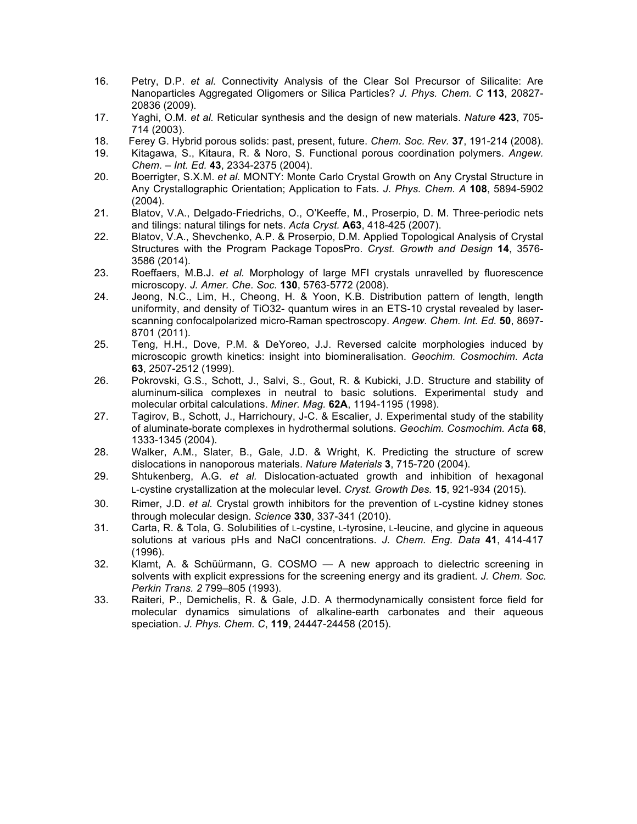- 16. Petry, D.P. *et al.* Connectivity Analysis of the Clear Sol Precursor of Silicalite: Are Nanoparticles Aggregated Oligomers or Silica Particles? *J. Phys. Chem. C* **113**, 20827- 20836 (2009).
- 17. Yaghi, O.M. *et al.* Reticular synthesis and the design of new materials. *Nature* **423**, 705- 714 (2003).
- 18. Ferey G. Hybrid porous solids: past, present, future. *Chem. Soc. Rev.* **37**, 191-214 (2008).
- 19. Kitagawa, S., Kitaura, R. & Noro, S. Functional porous coordination polymers. *Angew. Chem. – Int. Ed.* **43**, 2334-2375 (2004).
- 20. Boerrigter, S.X.M. *et al.* MONTY: Monte Carlo Crystal Growth on Any Crystal Structure in Any Crystallographic Orientation; Application to Fats. *J. Phys. Chem. A* **108**, 5894-5902 (2004).
- 21. Blatov, V.A., Delgado-Friedrichs, O., O'Keeffe, M., Proserpio, D. M. Three-periodic nets and tilings: natural tilings for nets. *Acta Cryst.* **A63**, 418-425 (2007).
- 22. Blatov, V.A., Shevchenko, A.P. & Proserpio, D.M. Applied Topological Analysis of Crystal Structures with the Program Package ToposPro. *Cryst. Growth and Design* **14**, 3576- 3586 (2014).
- 23. Roeffaers, M.B.J. *et al.* Morphology of large MFI crystals unravelled by fluorescence microscopy. *J. Amer. Che. Soc.* **130**, 5763-5772 (2008).
- 24. Jeong, N.C., Lim, H., Cheong, H. & Yoon, K.B. Distribution pattern of length, length uniformity, and density of TiO32- quantum wires in an ETS-10 crystal revealed by laserscanning confocalpolarized micro-Raman spectroscopy. *Angew. Chem. Int. Ed.* **50**, 8697- 8701 (2011).
- 25. Teng, H.H., Dove, P.M. & DeYoreo, J.J. Reversed calcite morphologies induced by microscopic growth kinetics: insight into biomineralisation. *Geochim. Cosmochim. Acta* **63**, 2507-2512 (1999).
- 26. Pokrovski, G.S., Schott, J., Salvi, S., Gout, R. & Kubicki, J.D. Structure and stability of aluminum-silica complexes in neutral to basic solutions. Experimental study and molecular orbital calculations. *Miner. Mag.* **62A**, 1194-1195 (1998).
- 27. Tagirov, B., Schott, J., Harrichoury, J-C. & Escalier, J. Experimental study of the stability of aluminate-borate complexes in hydrothermal solutions. *Geochim. Cosmochim. Acta* **68**, 1333-1345 (2004).
- 28. Walker, A.M., Slater, B., Gale, J.D. & Wright, K. Predicting the structure of screw dislocations in nanoporous materials. *Nature Materials* **3**, 715-720 (2004).
- 29. Shtukenberg, A.G. *et al.* Dislocation-actuated growth and inhibition of hexagonal L-cystine crystallization at the molecular level. *Cryst. Growth Des.* **15**, 921-934 (2015).
- 30. Rimer, J.D. *et al.* Crystal growth inhibitors for the prevention of L-cystine kidney stones through molecular design. *Science* **330**, 337-341 (2010).
- 31. Carta, R. & Tola, G. Solubilities of L-cystine, L-tyrosine, L-leucine, and glycine in aqueous solutions at various pHs and NaCl concentrations. *J. Chem. Eng. Data* **41**, 414-417 (1996).
- 32. Klamt, A. & Schüürmann, G. COSMO A new approach to dielectric screening in solvents with explicit expressions for the screening energy and its gradient. *J. Chem. Soc. Perkin Trans. 2* 799–805 (1993).
- 33. Raiteri, P., Demichelis, R. & Gale, J.D. A thermodynamically consistent force field for molecular dynamics simulations of alkaline-earth carbonates and their aqueous speciation. *J. Phys. Chem. C*, **119**, 24447-24458 (2015).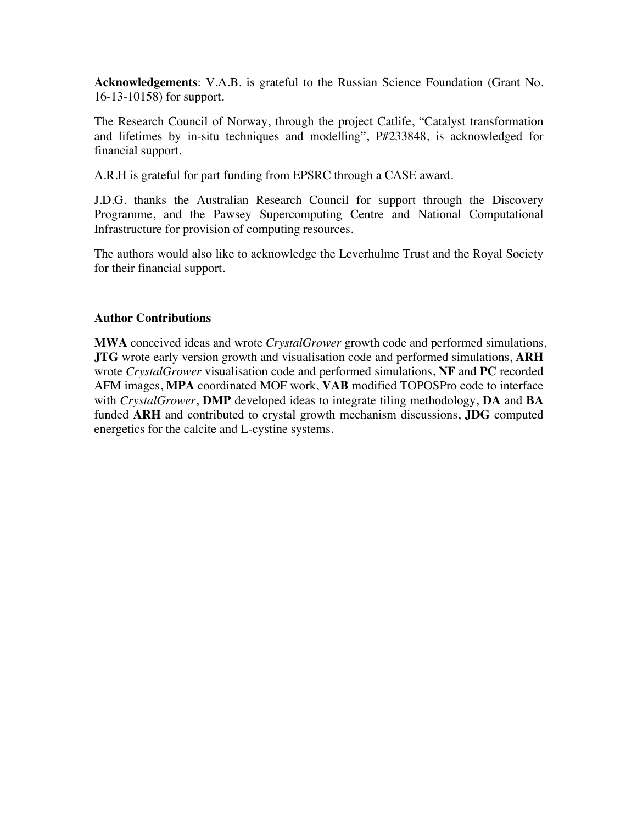**Acknowledgements**: V.A.B. is grateful to the Russian Science Foundation (Grant No. 16-13-10158) for support.

The Research Council of Norway, through the project Catlife, "Catalyst transformation and lifetimes by in-situ techniques and modelling", P#233848, is acknowledged for financial support.

A.R.H is grateful for part funding from EPSRC through a CASE award.

J.D.G. thanks the Australian Research Council for support through the Discovery Programme, and the Pawsey Supercomputing Centre and National Computational Infrastructure for provision of computing resources.

The authors would also like to acknowledge the Leverhulme Trust and the Royal Society for their financial support.

#### **Author Contributions**

**MWA** conceived ideas and wrote *CrystalGrower* growth code and performed simulations, **JTG** wrote early version growth and visualisation code and performed simulations, **ARH** wrote *CrystalGrower* visualisation code and performed simulations, **NF** and **PC** recorded AFM images, **MPA** coordinated MOF work, **VAB** modified TOPOSPro code to interface with *CrystalGrower*, **DMP** developed ideas to integrate tiling methodology, **DA** and **BA** funded **ARH** and contributed to crystal growth mechanism discussions, **JDG** computed energetics for the calcite and L-cystine systems.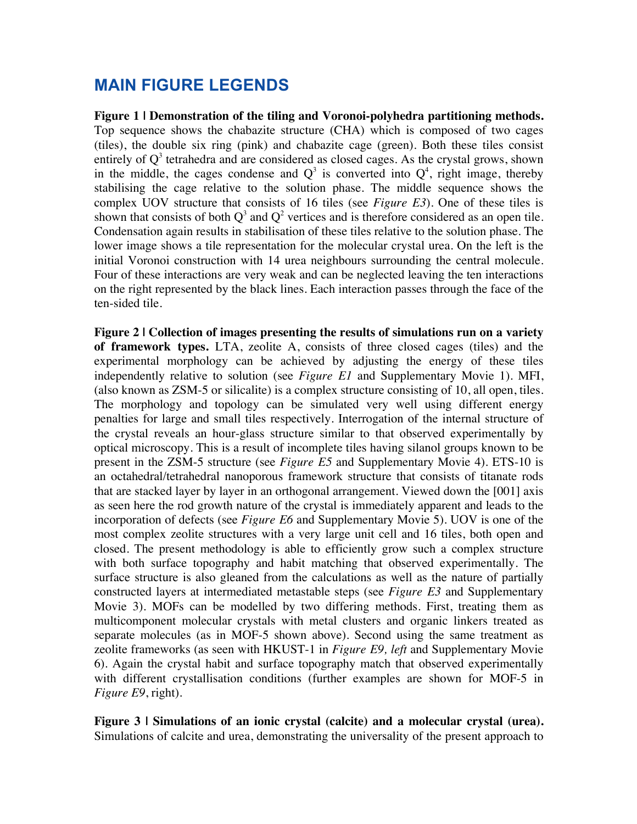### **MAIN FIGURE LEGENDS**

**Figure 1 | Demonstration of the tiling and Voronoi-polyhedra partitioning methods.** Top sequence shows the chabazite structure (CHA) which is composed of two cages (tiles), the double six ring (pink) and chabazite cage (green). Both these tiles consist entirely of  $Q<sup>3</sup>$  tetrahedra and are considered as closed cages. As the crystal grows, shown in the middle, the cages condense and  $Q^3$  is converted into  $Q^4$ , right image, thereby stabilising the cage relative to the solution phase. The middle sequence shows the complex UOV structure that consists of 16 tiles (see *Figure E3*). One of these tiles is shown that consists of both  $Q^3$  and  $Q^2$  vertices and is therefore considered as an open tile. Condensation again results in stabilisation of these tiles relative to the solution phase. The lower image shows a tile representation for the molecular crystal urea. On the left is the initial Voronoi construction with 14 urea neighbours surrounding the central molecule. Four of these interactions are very weak and can be neglected leaving the ten interactions on the right represented by the black lines. Each interaction passes through the face of the ten-sided tile.

**Figure 2 | Collection of images presenting the results of simulations run on a variety of framework types.** LTA, zeolite A, consists of three closed cages (tiles) and the experimental morphology can be achieved by adjusting the energy of these tiles independently relative to solution (see *Figure E1* and Supplementary Movie 1). MFI, (also known as ZSM-5 or silicalite) is a complex structure consisting of 10, all open, tiles. The morphology and topology can be simulated very well using different energy penalties for large and small tiles respectively. Interrogation of the internal structure of the crystal reveals an hour-glass structure similar to that observed experimentally by optical microscopy. This is a result of incomplete tiles having silanol groups known to be present in the ZSM-5 structure (see *Figure E5* and Supplementary Movie 4). ETS-10 is an octahedral/tetrahedral nanoporous framework structure that consists of titanate rods that are stacked layer by layer in an orthogonal arrangement. Viewed down the [001] axis as seen here the rod growth nature of the crystal is immediately apparent and leads to the incorporation of defects (see *Figure E6* and Supplementary Movie 5). UOV is one of the most complex zeolite structures with a very large unit cell and 16 tiles, both open and closed. The present methodology is able to efficiently grow such a complex structure with both surface topography and habit matching that observed experimentally. The surface structure is also gleaned from the calculations as well as the nature of partially constructed layers at intermediated metastable steps (see *Figure E3* and Supplementary Movie 3). MOFs can be modelled by two differing methods. First, treating them as multicomponent molecular crystals with metal clusters and organic linkers treated as separate molecules (as in MOF-5 shown above). Second using the same treatment as zeolite frameworks (as seen with HKUST-1 in *Figure E9, left* and Supplementary Movie 6). Again the crystal habit and surface topography match that observed experimentally with different crystallisation conditions (further examples are shown for MOF-5 in *Figure E9*, right).

**Figure 3 | Simulations of an ionic crystal (calcite) and a molecular crystal (urea).** Simulations of calcite and urea, demonstrating the universality of the present approach to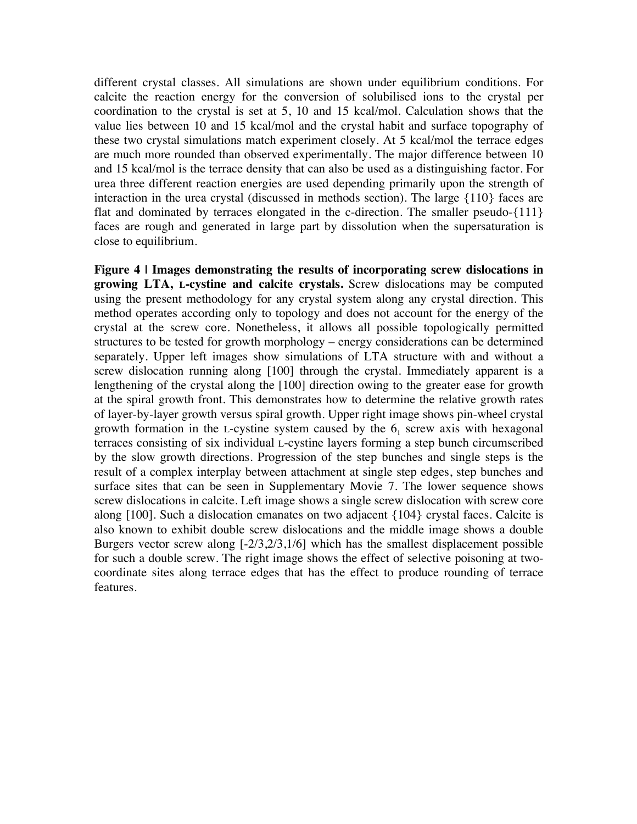different crystal classes. All simulations are shown under equilibrium conditions. For calcite the reaction energy for the conversion of solubilised ions to the crystal per coordination to the crystal is set at 5, 10 and 15 kcal/mol. Calculation shows that the value lies between 10 and 15 kcal/mol and the crystal habit and surface topography of these two crystal simulations match experiment closely. At 5 kcal/mol the terrace edges are much more rounded than observed experimentally. The major difference between 10 and 15 kcal/mol is the terrace density that can also be used as a distinguishing factor. For urea three different reaction energies are used depending primarily upon the strength of interaction in the urea crystal (discussed in methods section). The large {110} faces are flat and dominated by terraces elongated in the c-direction. The smaller pseudo-{111} faces are rough and generated in large part by dissolution when the supersaturation is close to equilibrium.

**Figure 4 | Images demonstrating the results of incorporating screw dislocations in growing LTA, L-cystine and calcite crystals.** Screw dislocations may be computed using the present methodology for any crystal system along any crystal direction. This method operates according only to topology and does not account for the energy of the crystal at the screw core. Nonetheless, it allows all possible topologically permitted structures to be tested for growth morphology – energy considerations can be determined separately. Upper left images show simulations of LTA structure with and without a screw dislocation running along [100] through the crystal. Immediately apparent is a lengthening of the crystal along the [100] direction owing to the greater ease for growth at the spiral growth front. This demonstrates how to determine the relative growth rates of layer-by-layer growth versus spiral growth. Upper right image shows pin-wheel crystal growth formation in the L-cystine system caused by the  $6<sub>1</sub>$  screw axis with hexagonal terraces consisting of six individual L-cystine layers forming a step bunch circumscribed by the slow growth directions. Progression of the step bunches and single steps is the result of a complex interplay between attachment at single step edges, step bunches and surface sites that can be seen in Supplementary Movie 7. The lower sequence shows screw dislocations in calcite. Left image shows a single screw dislocation with screw core along [100]. Such a dislocation emanates on two adjacent {104} crystal faces. Calcite is also known to exhibit double screw dislocations and the middle image shows a double Burgers vector screw along [-2/3,2/3,1/6] which has the smallest displacement possible for such a double screw. The right image shows the effect of selective poisoning at twocoordinate sites along terrace edges that has the effect to produce rounding of terrace features.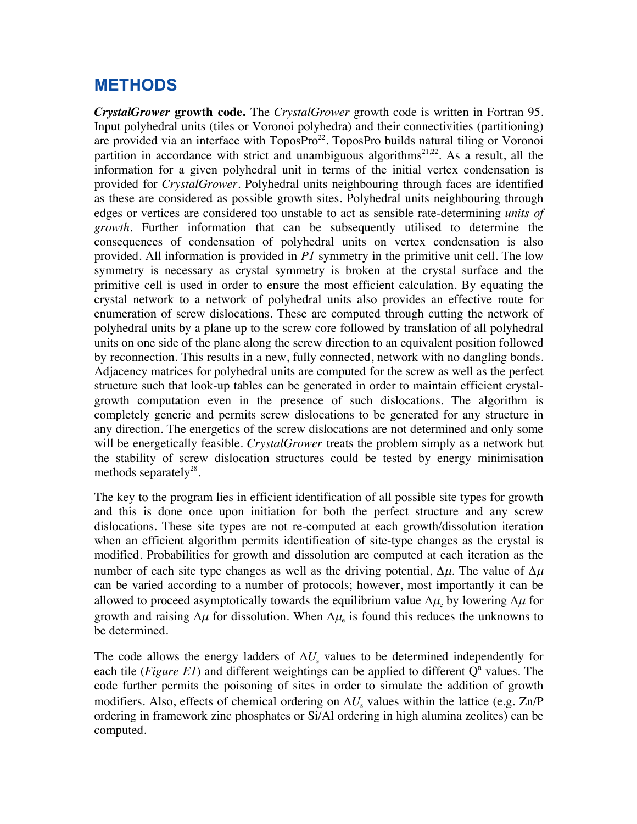## **METHODS**

*CrystalGrower* **growth code.** The *CrystalGrower* growth code is written in Fortran 95. Input polyhedral units (tiles or Voronoi polyhedra) and their connectivities (partitioning) are provided via an interface with ToposPro<sup>22</sup>. ToposPro builds natural tiling or Voronoi partition in accordance with strict and unambiguous algorithms<sup>21,22</sup>. As a result, all the information for a given polyhedral unit in terms of the initial vertex condensation is provided for *CrystalGrower*. Polyhedral units neighbouring through faces are identified as these are considered as possible growth sites. Polyhedral units neighbouring through edges or vertices are considered too unstable to act as sensible rate-determining *units of growth*. Further information that can be subsequently utilised to determine the consequences of condensation of polyhedral units on vertex condensation is also provided. All information is provided in *P1* symmetry in the primitive unit cell. The low symmetry is necessary as crystal symmetry is broken at the crystal surface and the primitive cell is used in order to ensure the most efficient calculation. By equating the crystal network to a network of polyhedral units also provides an effective route for enumeration of screw dislocations. These are computed through cutting the network of polyhedral units by a plane up to the screw core followed by translation of all polyhedral units on one side of the plane along the screw direction to an equivalent position followed by reconnection. This results in a new, fully connected, network with no dangling bonds. Adjacency matrices for polyhedral units are computed for the screw as well as the perfect structure such that look-up tables can be generated in order to maintain efficient crystalgrowth computation even in the presence of such dislocations. The algorithm is completely generic and permits screw dislocations to be generated for any structure in any direction. The energetics of the screw dislocations are not determined and only some will be energetically feasible. *CrystalGrower* treats the problem simply as a network but the stability of screw dislocation structures could be tested by energy minimisation methods separately $^{28}$ .

The key to the program lies in efficient identification of all possible site types for growth and this is done once upon initiation for both the perfect structure and any screw dislocations. These site types are not re-computed at each growth/dissolution iteration when an efficient algorithm permits identification of site-type changes as the crystal is modified. Probabilities for growth and dissolution are computed at each iteration as the number of each site type changes as well as the driving potential,  $\Delta \mu$ . The value of  $\Delta \mu$ can be varied according to a number of protocols; however, most importantly it can be allowed to proceed asymptotically towards the equilibrium value  $\Delta \mu_e$  by lowering  $\Delta \mu$  for growth and raising  $\Delta \mu$  for dissolution. When  $\Delta \mu_e$  is found this reduces the unknowns to be determined.

The code allows the energy ladders of  $\Delta U_s$  values to be determined independently for each tile (*Figure E1*) and different weightings can be applied to different  $Q<sup>n</sup>$  values. The code further permits the poisoning of sites in order to simulate the addition of growth modifiers. Also, effects of chemical ordering on  $\Delta U_s$  values within the lattice (e.g. Zn/P ordering in framework zinc phosphates or Si/Al ordering in high alumina zeolites) can be computed.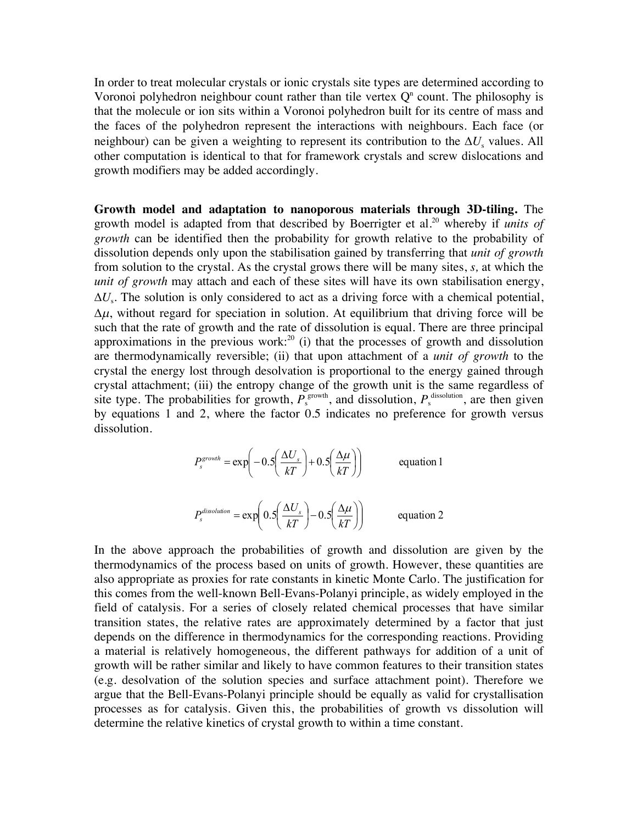In order to treat molecular crystals or ionic crystals site types are determined according to Voronoi polyhedron neighbour count rather than tile vertex  $Q<sup>n</sup>$  count. The philosophy is that the molecule or ion sits within a Voronoi polyhedron built for its centre of mass and the faces of the polyhedron represent the interactions with neighbours. Each face (or neighbour) can be given a weighting to represent its contribution to the  $\Delta U_s$  values. All other computation is identical to that for framework crystals and screw dislocations and growth modifiers may be added accordingly.

**Growth model and adaptation to nanoporous materials through 3D-tiling.** The growth model is adapted from that described by Boerrigter et al.<sup>20</sup> whereby if *units of growth* can be identified then the probability for growth relative to the probability of dissolution depends only upon the stabilisation gained by transferring that *unit of growth* from solution to the crystal. As the crystal grows there will be many sites, *s,* at which the *unit of growth* may attach and each of these sites will have its own stabilisation energy,  $\Delta U_s$ . The solution is only considered to act as a driving force with a chemical potential,  $\Delta \mu$ , without regard for speciation in solution. At equilibrium that driving force will be such that the rate of growth and the rate of dissolution is equal. There are three principal approximations in the previous work: $20$  (i) that the processes of growth and dissolution are thermodynamically reversible; (ii) that upon attachment of a *unit of growth* to the crystal the energy lost through desolvation is proportional to the energy gained through crystal attachment; (iii) the entropy change of the growth unit is the same regardless of site type. The probabilities for growth,  $P_s^{\text{growth}}$ , and dissolution,  $P_s^{\text{dissolution}}$ , are then given by equations 1 and 2, where the factor 0.5 indicates no preference for growth versus dissolution.

$$
P_s^{growth} = \exp\left(-0.5\left(\frac{\Delta U_s}{kT}\right) + 0.5\left(\frac{\Delta \mu}{kT}\right)\right)
$$
 equation 1  

$$
P_s^{dissolution} = \exp\left(0.5\left(\frac{\Delta U_s}{kT}\right) - 0.5\left(\frac{\Delta \mu}{kT}\right)\right)
$$
 equation 2

ø

ø

è

 $\setminus$ 

è

In the above approach the probabilities of growth and dissolution are given by the thermodynamics of the process based on units of growth. However, these quantities are also appropriate as proxies for rate constants in kinetic Monte Carlo. The justification for this comes from the well-known Bell-Evans-Polanyi principle, as widely employed in the field of catalysis. For a series of closely related chemical processes that have similar transition states, the relative rates are approximately determined by a factor that just depends on the difference in thermodynamics for the corresponding reactions. Providing a material is relatively homogeneous, the different pathways for addition of a unit of growth will be rather similar and likely to have common features to their transition states (e.g. desolvation of the solution species and surface attachment point). Therefore we argue that the Bell-Evans-Polanyi principle should be equally as valid for crystallisation processes as for catalysis. Given this, the probabilities of growth vs dissolution will determine the relative kinetics of crystal growth to within a time constant.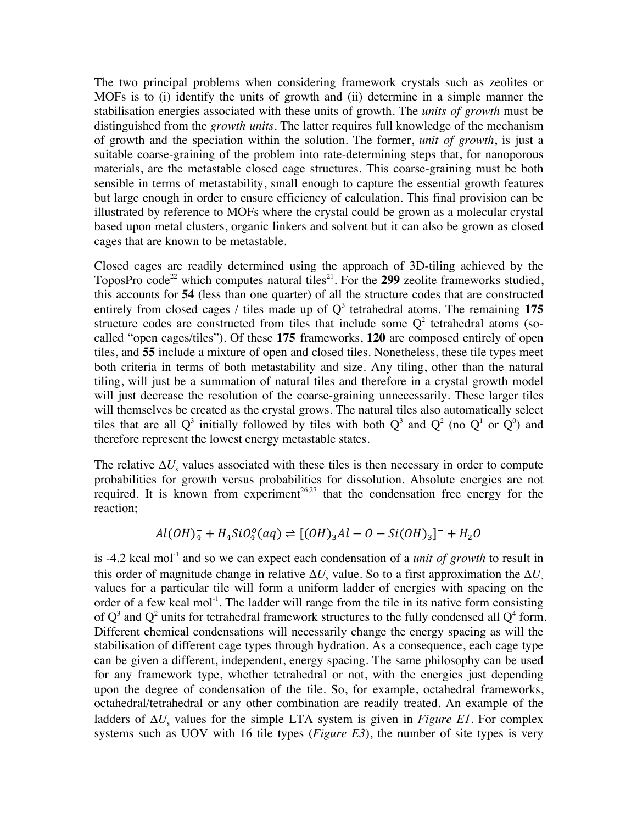The two principal problems when considering framework crystals such as zeolites or MOFs is to (i) identify the units of growth and (ii) determine in a simple manner the stabilisation energies associated with these units of growth. The *units of growth* must be distinguished from the *growth units*. The latter requires full knowledge of the mechanism of growth and the speciation within the solution. The former, *unit of growth*, is just a suitable coarse-graining of the problem into rate-determining steps that, for nanoporous materials, are the metastable closed cage structures. This coarse-graining must be both sensible in terms of metastability, small enough to capture the essential growth features but large enough in order to ensure efficiency of calculation. This final provision can be illustrated by reference to MOFs where the crystal could be grown as a molecular crystal based upon metal clusters, organic linkers and solvent but it can also be grown as closed cages that are known to be metastable.

Closed cages are readily determined using the approach of 3D-tiling achieved by the ToposPro code<sup>22</sup> which computes natural tiles<sup>21</sup>. For the **299** zeolite frameworks studied, this accounts for **54** (less than one quarter) of all the structure codes that are constructed entirely from closed cages / tiles made up of  $Q<sup>3</sup>$  tetrahedral atoms. The remaining 175 structure codes are constructed from tiles that include some  $Q<sup>2</sup>$  tetrahedral atoms (socalled "open cages/tiles"). Of these **175** frameworks, **120** are composed entirely of open tiles, and **55** include a mixture of open and closed tiles. Nonetheless, these tile types meet both criteria in terms of both metastability and size. Any tiling, other than the natural tiling, will just be a summation of natural tiles and therefore in a crystal growth model will just decrease the resolution of the coarse-graining unnecessarily. These larger tiles will themselves be created as the crystal grows. The natural tiles also automatically select tiles that are all Q<sup>3</sup> initially followed by tiles with both Q<sup>3</sup> and Q<sup>2</sup> (no Q<sup>1</sup> or Q<sup>0</sup>) and therefore represent the lowest energy metastable states.

The relative  $\Delta U_s$  values associated with these tiles is then necessary in order to compute probabilities for growth versus probabilities for dissolution. Absolute energies are not required. It is known from experiment<sup>26,27</sup> that the condensation free energy for the reaction;

$$
Al(OH)_4^- + H_4SiO_4^o(aq) \rightleftharpoons [(OH)_3Al - O - Si(OH)_3]^- + H_2O
$$

is -4.2 kcal mol<sup>-1</sup> and so we can expect each condensation of a *unit of growth* to result in this order of magnitude change in relative  $\Delta U_s$  value. So to a first approximation the  $\Delta U_s$ values for a particular tile will form a uniform ladder of energies with spacing on the order of a few kcal mol<sup>-1</sup>. The ladder will range from the tile in its native form consisting of  $Q^3$  and  $Q^2$  units for tetrahedral framework structures to the fully condensed all  $Q^4$  form. Different chemical condensations will necessarily change the energy spacing as will the stabilisation of different cage types through hydration. As a consequence, each cage type can be given a different, independent, energy spacing. The same philosophy can be used for any framework type, whether tetrahedral or not, with the energies just depending upon the degree of condensation of the tile. So, for example, octahedral frameworks, octahedral/tetrahedral or any other combination are readily treated. An example of the ladders of  $\Delta U_s$  values for the simple LTA system is given in *Figure E1*. For complex systems such as UOV with 16 tile types (*Figure E3*), the number of site types is very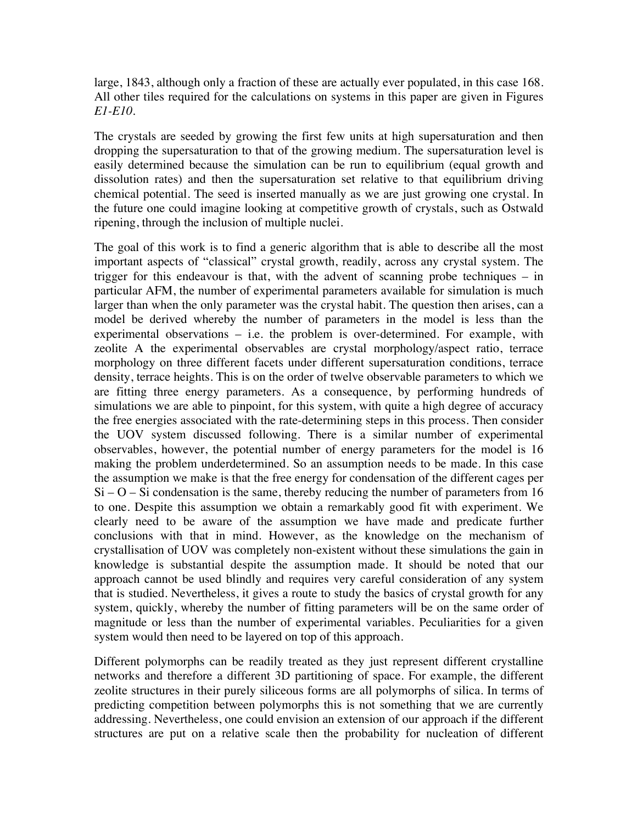large, 1843, although only a fraction of these are actually ever populated, in this case 168. All other tiles required for the calculations on systems in this paper are given in Figures *E1-E10*.

The crystals are seeded by growing the first few units at high supersaturation and then dropping the supersaturation to that of the growing medium. The supersaturation level is easily determined because the simulation can be run to equilibrium (equal growth and dissolution rates) and then the supersaturation set relative to that equilibrium driving chemical potential. The seed is inserted manually as we are just growing one crystal. In the future one could imagine looking at competitive growth of crystals, such as Ostwald ripening, through the inclusion of multiple nuclei.

The goal of this work is to find a generic algorithm that is able to describe all the most important aspects of "classical" crystal growth, readily, across any crystal system. The trigger for this endeavour is that, with the advent of scanning probe techniques – in particular AFM, the number of experimental parameters available for simulation is much larger than when the only parameter was the crystal habit. The question then arises, can a model be derived whereby the number of parameters in the model is less than the experimental observations – i.e. the problem is over-determined. For example, with zeolite A the experimental observables are crystal morphology/aspect ratio, terrace morphology on three different facets under different supersaturation conditions, terrace density, terrace heights. This is on the order of twelve observable parameters to which we are fitting three energy parameters. As a consequence, by performing hundreds of simulations we are able to pinpoint, for this system, with quite a high degree of accuracy the free energies associated with the rate-determining steps in this process. Then consider the UOV system discussed following. There is a similar number of experimental observables, however, the potential number of energy parameters for the model is 16 making the problem underdetermined. So an assumption needs to be made. In this case the assumption we make is that the free energy for condensation of the different cages per  $Si - O - Si$  condensation is the same, thereby reducing the number of parameters from 16 to one. Despite this assumption we obtain a remarkably good fit with experiment. We clearly need to be aware of the assumption we have made and predicate further conclusions with that in mind. However, as the knowledge on the mechanism of crystallisation of UOV was completely non-existent without these simulations the gain in knowledge is substantial despite the assumption made. It should be noted that our approach cannot be used blindly and requires very careful consideration of any system that is studied. Nevertheless, it gives a route to study the basics of crystal growth for any system, quickly, whereby the number of fitting parameters will be on the same order of magnitude or less than the number of experimental variables. Peculiarities for a given system would then need to be layered on top of this approach.

Different polymorphs can be readily treated as they just represent different crystalline networks and therefore a different 3D partitioning of space. For example, the different zeolite structures in their purely siliceous forms are all polymorphs of silica. In terms of predicting competition between polymorphs this is not something that we are currently addressing. Nevertheless, one could envision an extension of our approach if the different structures are put on a relative scale then the probability for nucleation of different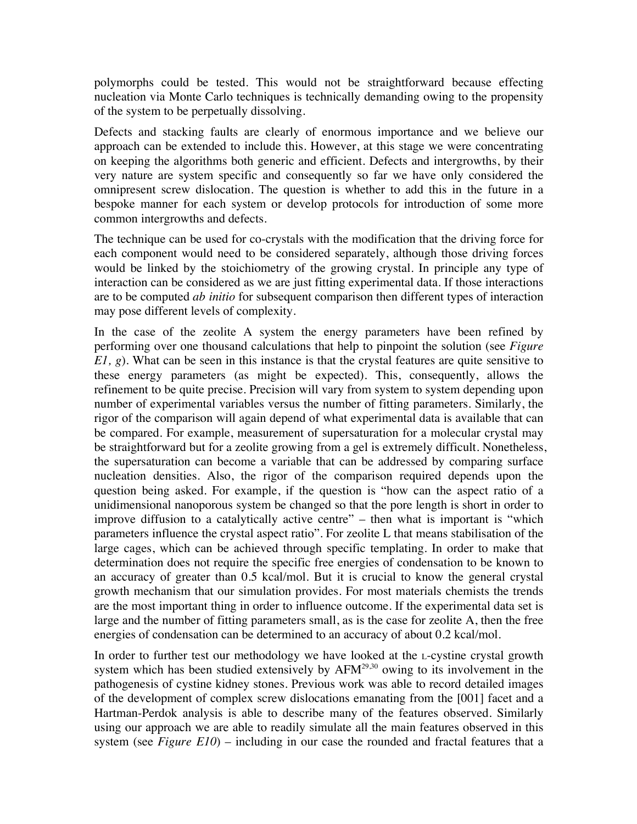polymorphs could be tested. This would not be straightforward because effecting nucleation via Monte Carlo techniques is technically demanding owing to the propensity of the system to be perpetually dissolving.

Defects and stacking faults are clearly of enormous importance and we believe our approach can be extended to include this. However, at this stage we were concentrating on keeping the algorithms both generic and efficient. Defects and intergrowths, by their very nature are system specific and consequently so far we have only considered the omnipresent screw dislocation. The question is whether to add this in the future in a bespoke manner for each system or develop protocols for introduction of some more common intergrowths and defects.

The technique can be used for co-crystals with the modification that the driving force for each component would need to be considered separately, although those driving forces would be linked by the stoichiometry of the growing crystal. In principle any type of interaction can be considered as we are just fitting experimental data. If those interactions are to be computed *ab initio* for subsequent comparison then different types of interaction may pose different levels of complexity.

In the case of the zeolite A system the energy parameters have been refined by performing over one thousand calculations that help to pinpoint the solution (see *Figure E1, g*). What can be seen in this instance is that the crystal features are quite sensitive to these energy parameters (as might be expected). This, consequently, allows the refinement to be quite precise. Precision will vary from system to system depending upon number of experimental variables versus the number of fitting parameters. Similarly, the rigor of the comparison will again depend of what experimental data is available that can be compared. For example, measurement of supersaturation for a molecular crystal may be straightforward but for a zeolite growing from a gel is extremely difficult. Nonetheless, the supersaturation can become a variable that can be addressed by comparing surface nucleation densities. Also, the rigor of the comparison required depends upon the question being asked. For example, if the question is "how can the aspect ratio of a unidimensional nanoporous system be changed so that the pore length is short in order to improve diffusion to a catalytically active centre" – then what is important is "which parameters influence the crystal aspect ratio". For zeolite L that means stabilisation of the large cages, which can be achieved through specific templating. In order to make that determination does not require the specific free energies of condensation to be known to an accuracy of greater than 0.5 kcal/mol. But it is crucial to know the general crystal growth mechanism that our simulation provides. For most materials chemists the trends are the most important thing in order to influence outcome. If the experimental data set is large and the number of fitting parameters small, as is the case for zeolite A, then the free energies of condensation can be determined to an accuracy of about 0.2 kcal/mol.

In order to further test our methodology we have looked at the L-cystine crystal growth system which has been studied extensively by  $AFM<sup>29,30</sup>$  owing to its involvement in the pathogenesis of cystine kidney stones. Previous work was able to record detailed images of the development of complex screw dislocations emanating from the [001] facet and a Hartman-Perdok analysis is able to describe many of the features observed. Similarly using our approach we are able to readily simulate all the main features observed in this system (see *Figure E10*) – including in our case the rounded and fractal features that a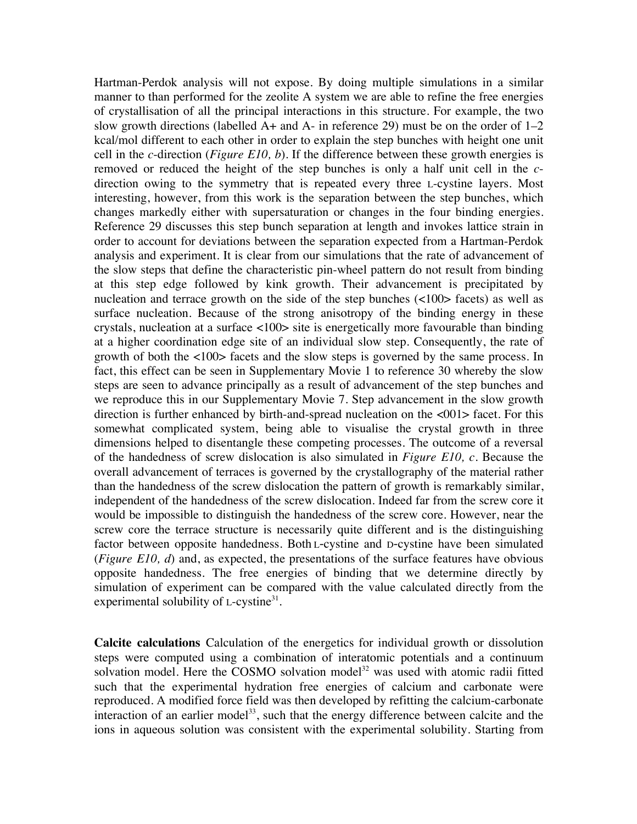Hartman-Perdok analysis will not expose. By doing multiple simulations in a similar manner to than performed for the zeolite A system we are able to refine the free energies of crystallisation of all the principal interactions in this structure. For example, the two slow growth directions (labelled  $A+$  and  $A-$  in reference 29) must be on the order of  $1-2$ kcal/mol different to each other in order to explain the step bunches with height one unit cell in the *c*-direction (*Figure E10, b*). If the difference between these growth energies is removed or reduced the height of the step bunches is only a half unit cell in the *c*direction owing to the symmetry that is repeated every three L-cystine layers. Most interesting, however, from this work is the separation between the step bunches, which changes markedly either with supersaturation or changes in the four binding energies. Reference 29 discusses this step bunch separation at length and invokes lattice strain in order to account for deviations between the separation expected from a Hartman-Perdok analysis and experiment. It is clear from our simulations that the rate of advancement of the slow steps that define the characteristic pin-wheel pattern do not result from binding at this step edge followed by kink growth. Their advancement is precipitated by nucleation and terrace growth on the side of the step bunches (<100> facets) as well as surface nucleation. Because of the strong anisotropy of the binding energy in these crystals, nucleation at a surface <100> site is energetically more favourable than binding at a higher coordination edge site of an individual slow step. Consequently, the rate of growth of both the <100> facets and the slow steps is governed by the same process. In fact, this effect can be seen in Supplementary Movie 1 to reference 30 whereby the slow steps are seen to advance principally as a result of advancement of the step bunches and we reproduce this in our Supplementary Movie 7. Step advancement in the slow growth direction is further enhanced by birth-and-spread nucleation on the <001> facet. For this somewhat complicated system, being able to visualise the crystal growth in three dimensions helped to disentangle these competing processes. The outcome of a reversal of the handedness of screw dislocation is also simulated in *Figure E10, c*. Because the overall advancement of terraces is governed by the crystallography of the material rather than the handedness of the screw dislocation the pattern of growth is remarkably similar, independent of the handedness of the screw dislocation. Indeed far from the screw core it would be impossible to distinguish the handedness of the screw core. However, near the screw core the terrace structure is necessarily quite different and is the distinguishing factor between opposite handedness. Both L-cystine and D-cystine have been simulated (*Figure E10, d*) and, as expected, the presentations of the surface features have obvious opposite handedness. The free energies of binding that we determine directly by simulation of experiment can be compared with the value calculated directly from the experimental solubility of  $L$ -cystine<sup>31</sup>.

**Calcite calculations** Calculation of the energetics for individual growth or dissolution steps were computed using a combination of interatomic potentials and a continuum solvation model. Here the COSMO solvation model<sup>32</sup> was used with atomic radii fitted such that the experimental hydration free energies of calcium and carbonate were reproduced. A modified force field was then developed by refitting the calcium-carbonate interaction of an earlier model<sup>33</sup>, such that the energy difference between calcite and the ions in aqueous solution was consistent with the experimental solubility. Starting from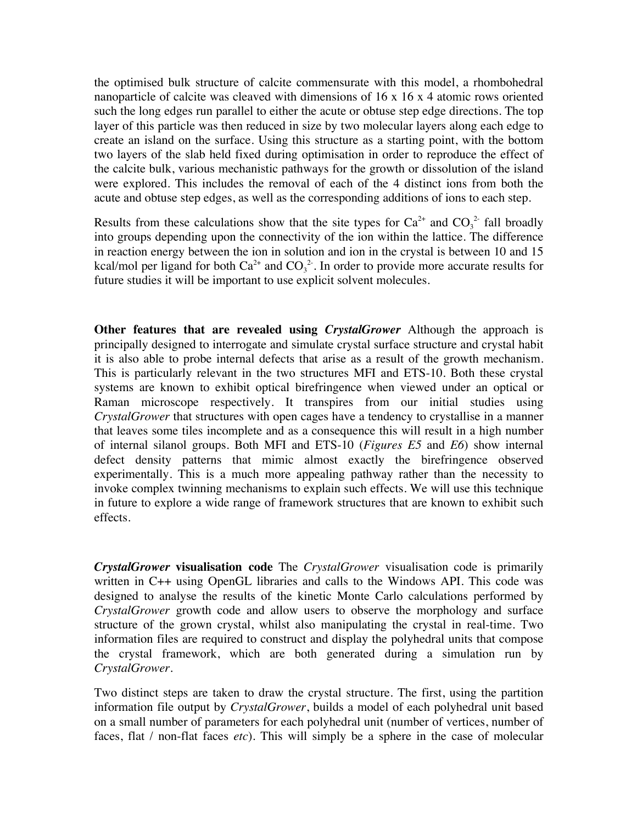the optimised bulk structure of calcite commensurate with this model, a rhombohedral nanoparticle of calcite was cleaved with dimensions of 16 x 16 x 4 atomic rows oriented such the long edges run parallel to either the acute or obtuse step edge directions. The top layer of this particle was then reduced in size by two molecular layers along each edge to create an island on the surface. Using this structure as a starting point, with the bottom two layers of the slab held fixed during optimisation in order to reproduce the effect of the calcite bulk, various mechanistic pathways for the growth or dissolution of the island were explored. This includes the removal of each of the 4 distinct ions from both the acute and obtuse step edges, as well as the corresponding additions of ions to each step.

Results from these calculations show that the site types for  $Ca^{2+}$  and  $CO<sub>3</sub><sup>2</sup>$  fall broadly into groups depending upon the connectivity of the ion within the lattice. The difference in reaction energy between the ion in solution and ion in the crystal is between 10 and 15 kcal/mol per ligand for both  $Ca^{2+}$  and  $CO_3^2$ . In order to provide more accurate results for future studies it will be important to use explicit solvent molecules.

**Other features that are revealed using** *CrystalGrower* Although the approach is principally designed to interrogate and simulate crystal surface structure and crystal habit it is also able to probe internal defects that arise as a result of the growth mechanism. This is particularly relevant in the two structures MFI and ETS-10. Both these crystal systems are known to exhibit optical birefringence when viewed under an optical or Raman microscope respectively. It transpires from our initial studies using *CrystalGrower* that structures with open cages have a tendency to crystallise in a manner that leaves some tiles incomplete and as a consequence this will result in a high number of internal silanol groups. Both MFI and ETS-10 (*Figures E5* and *E6*) show internal defect density patterns that mimic almost exactly the birefringence observed experimentally. This is a much more appealing pathway rather than the necessity to invoke complex twinning mechanisms to explain such effects. We will use this technique in future to explore a wide range of framework structures that are known to exhibit such effects.

*CrystalGrower* **visualisation code** The *CrystalGrower* visualisation code is primarily written in C++ using OpenGL libraries and calls to the Windows API. This code was designed to analyse the results of the kinetic Monte Carlo calculations performed by *CrystalGrower* growth code and allow users to observe the morphology and surface structure of the grown crystal, whilst also manipulating the crystal in real-time. Two information files are required to construct and display the polyhedral units that compose the crystal framework, which are both generated during a simulation run by *CrystalGrower*.

Two distinct steps are taken to draw the crystal structure. The first, using the partition information file output by *CrystalGrower*, builds a model of each polyhedral unit based on a small number of parameters for each polyhedral unit (number of vertices, number of faces, flat / non-flat faces *etc*). This will simply be a sphere in the case of molecular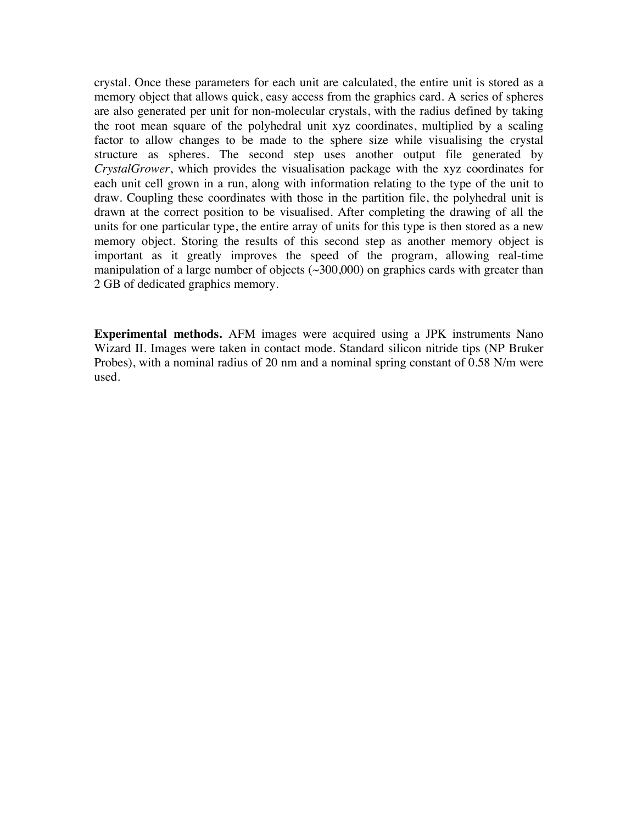crystal. Once these parameters for each unit are calculated, the entire unit is stored as a memory object that allows quick, easy access from the graphics card. A series of spheres are also generated per unit for non-molecular crystals, with the radius defined by taking the root mean square of the polyhedral unit xyz coordinates, multiplied by a scaling factor to allow changes to be made to the sphere size while visualising the crystal structure as spheres. The second step uses another output file generated by *CrystalGrower*, which provides the visualisation package with the xyz coordinates for each unit cell grown in a run, along with information relating to the type of the unit to draw. Coupling these coordinates with those in the partition file, the polyhedral unit is drawn at the correct position to be visualised. After completing the drawing of all the units for one particular type, the entire array of units for this type is then stored as a new memory object. Storing the results of this second step as another memory object is important as it greatly improves the speed of the program, allowing real-time manipulation of a large number of objects  $(\sim 300,000)$  on graphics cards with greater than 2 GB of dedicated graphics memory.

**Experimental methods.** AFM images were acquired using a JPK instruments Nano Wizard II. Images were taken in contact mode. Standard silicon nitride tips (NP Bruker Probes), with a nominal radius of 20 nm and a nominal spring constant of 0.58 N/m were used.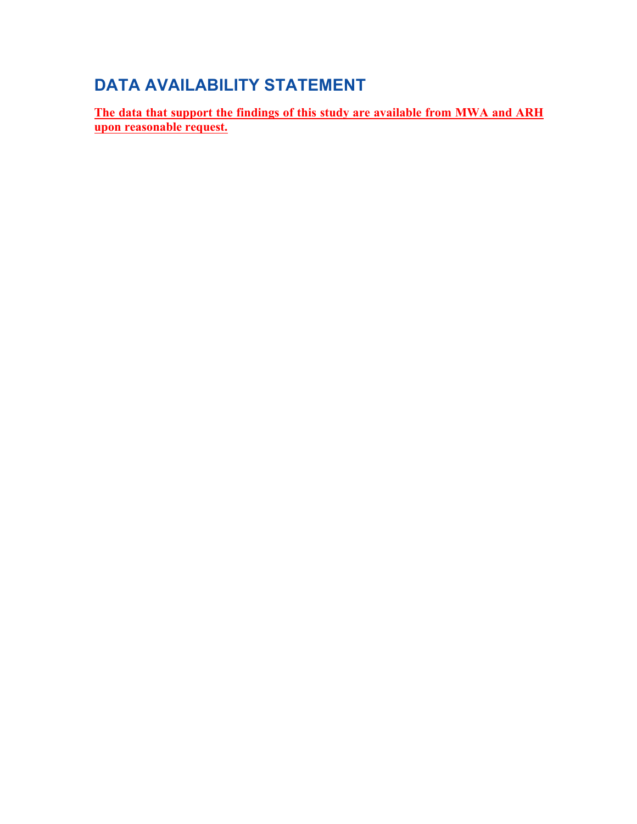# **DATA AVAILABILITY STATEMENT**

**The data that support the findings of this study are available from MWA and ARH upon reasonable request.**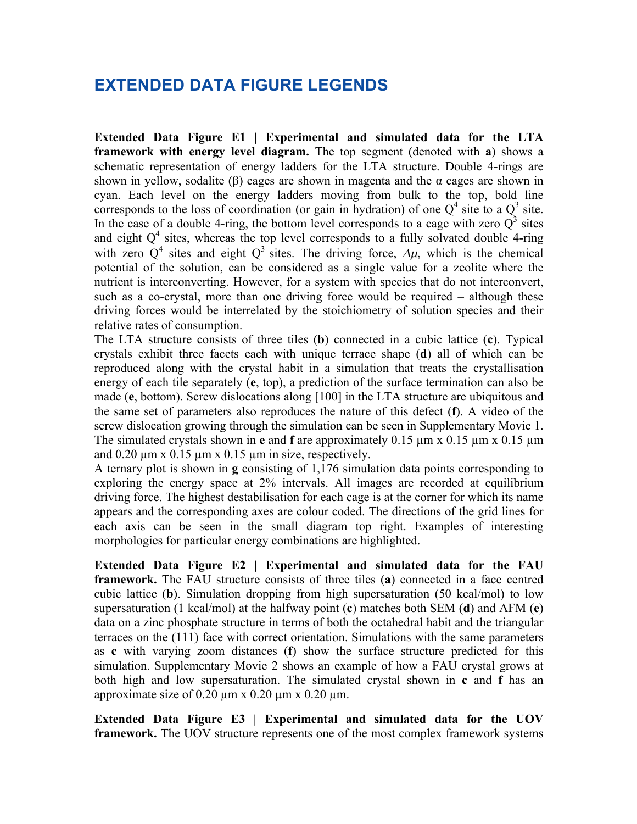### **EXTENDED DATA FIGURE LEGENDS**

**Extended Data Figure E1 | Experimental and simulated data for the LTA framework with energy level diagram.** The top segment (denoted with **a**) shows a schematic representation of energy ladders for the LTA structure. Double 4-rings are shown in yellow, sodalite (β) cages are shown in magenta and the  $\alpha$  cages are shown in cyan. Each level on the energy ladders moving from bulk to the top, bold line corresponds to the loss of coordination (or gain in hydration) of one  $Q^4$  site to a  $Q^3$  site. In the case of a double 4-ring, the bottom level corresponds to a cage with zero  $O<sup>3</sup>$  sites and eight  $Q<sup>4</sup>$  sites, whereas the top level corresponds to a fully solvated double 4-ring with zero  $Q^4$  sites and eight  $Q^3$  sites. The driving force,  $\Delta \mu$ , which is the chemical potential of the solution, can be considered as a single value for a zeolite where the nutrient is interconverting. However, for a system with species that do not interconvert, such as a co-crystal, more than one driving force would be required – although these driving forces would be interrelated by the stoichiometry of solution species and their relative rates of consumption.

The LTA structure consists of three tiles (**b**) connected in a cubic lattice (**c**). Typical crystals exhibit three facets each with unique terrace shape (**d**) all of which can be reproduced along with the crystal habit in a simulation that treats the crystallisation energy of each tile separately (**e**, top), a prediction of the surface termination can also be made (**e**, bottom). Screw dislocations along [100] in the LTA structure are ubiquitous and the same set of parameters also reproduces the nature of this defect (**f**). A video of the screw dislocation growing through the simulation can be seen in Supplementary Movie 1. The simulated crystals shown in **e** and **f** are approximately 0.15 µm x 0.15 µm x 0.15 µm and  $0.20 \mu m \times 0.15 \mu m \times 0.15 \mu m$  in size, respectively.

A ternary plot is shown in **g** consisting of 1,176 simulation data points corresponding to exploring the energy space at 2% intervals. All images are recorded at equilibrium driving force. The highest destabilisation for each cage is at the corner for which its name appears and the corresponding axes are colour coded. The directions of the grid lines for each axis can be seen in the small diagram top right. Examples of interesting morphologies for particular energy combinations are highlighted.

**Extended Data Figure E2 | Experimental and simulated data for the FAU framework.** The FAU structure consists of three tiles (**a**) connected in a face centred cubic lattice (**b**). Simulation dropping from high supersaturation (50 kcal/mol) to low supersaturation (1 kcal/mol) at the halfway point (**c**) matches both SEM (**d**) and AFM (**e**) data on a zinc phosphate structure in terms of both the octahedral habit and the triangular terraces on the (111) face with correct orientation. Simulations with the same parameters as **c** with varying zoom distances (**f**) show the surface structure predicted for this simulation. Supplementary Movie 2 shows an example of how a FAU crystal grows at both high and low supersaturation. The simulated crystal shown in **c** and **f** has an approximate size of  $0.20 \text{ µm}$  x  $0.20 \text{ µm}$  x  $0.20 \text{ µm}$ .

**Extended Data Figure E3 | Experimental and simulated data for the UOV framework.** The UOV structure represents one of the most complex framework systems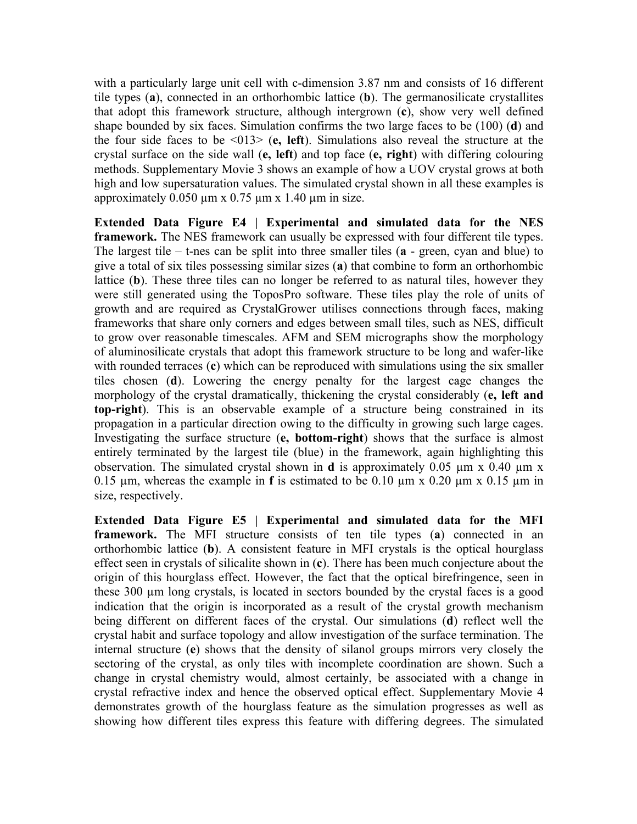with a particularly large unit cell with c-dimension 3.87 nm and consists of 16 different tile types (**a**), connected in an orthorhombic lattice (**b**). The germanosilicate crystallites that adopt this framework structure, although intergrown (**c**), show very well defined shape bounded by six faces. Simulation confirms the two large faces to be (100) (**d**) and the four side faces to be <013> (**e, left**). Simulations also reveal the structure at the crystal surface on the side wall (**e, left**) and top face (**e, right**) with differing colouring methods. Supplementary Movie 3 shows an example of how a UOV crystal grows at both high and low supersaturation values. The simulated crystal shown in all these examples is approximately  $0.050 \mu m \times 0.75 \mu m \times 1.40 \mu m$  in size.

**Extended Data Figure E4 | Experimental and simulated data for the NES framework.** The NES framework can usually be expressed with four different tile types. The largest tile – t-nes can be split into three smaller tiles (**a** - green, cyan and blue) to give a total of six tiles possessing similar sizes (**a**) that combine to form an orthorhombic lattice (**b**). These three tiles can no longer be referred to as natural tiles, however they were still generated using the ToposPro software. These tiles play the role of units of growth and are required as CrystalGrower utilises connections through faces, making frameworks that share only corners and edges between small tiles, such as NES, difficult to grow over reasonable timescales. AFM and SEM micrographs show the morphology of aluminosilicate crystals that adopt this framework structure to be long and wafer-like with rounded terraces (c) which can be reproduced with simulations using the six smaller tiles chosen (**d**). Lowering the energy penalty for the largest cage changes the morphology of the crystal dramatically, thickening the crystal considerably (**e, left and top-right**). This is an observable example of a structure being constrained in its propagation in a particular direction owing to the difficulty in growing such large cages. Investigating the surface structure (**e, bottom-right**) shows that the surface is almost entirely terminated by the largest tile (blue) in the framework, again highlighting this observation. The simulated crystal shown in **d** is approximately 0.05 µm x 0.40 µm x 0.15 µm, whereas the example in **f** is estimated to be 0.10 µm x 0.20 µm x 0.15 µm in size, respectively.

**Extended Data Figure E5 | Experimental and simulated data for the MFI framework.** The MFI structure consists of ten tile types (**a**) connected in an orthorhombic lattice (**b**). A consistent feature in MFI crystals is the optical hourglass effect seen in crystals of silicalite shown in (**c**). There has been much conjecture about the origin of this hourglass effect. However, the fact that the optical birefringence, seen in these 300 µm long crystals, is located in sectors bounded by the crystal faces is a good indication that the origin is incorporated as a result of the crystal growth mechanism being different on different faces of the crystal. Our simulations (**d**) reflect well the crystal habit and surface topology and allow investigation of the surface termination. The internal structure (**e**) shows that the density of silanol groups mirrors very closely the sectoring of the crystal, as only tiles with incomplete coordination are shown. Such a change in crystal chemistry would, almost certainly, be associated with a change in crystal refractive index and hence the observed optical effect. Supplementary Movie 4 demonstrates growth of the hourglass feature as the simulation progresses as well as showing how different tiles express this feature with differing degrees. The simulated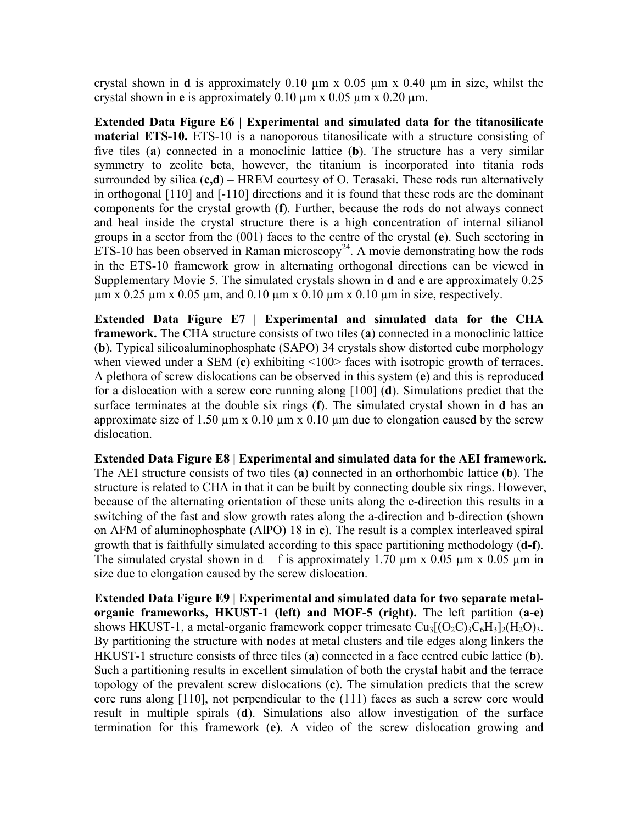crystal shown in **d** is approximately 0.10 µm x 0.05 µm x 0.40 µm in size, whilst the crystal shown in **e** is approximately 0.10 µm x 0.05 µm x 0.20 µm.

**Extended Data Figure E6 | Experimental and simulated data for the titanosilicate material ETS-10.** ETS-10 is a nanoporous titanosilicate with a structure consisting of five tiles (**a**) connected in a monoclinic lattice (**b**). The structure has a very similar symmetry to zeolite beta, however, the titanium is incorporated into titania rods surrounded by silica (**c,d**) – HREM courtesy of O. Terasaki. These rods run alternatively in orthogonal [110] and [-110] directions and it is found that these rods are the dominant components for the crystal growth (**f**). Further, because the rods do not always connect and heal inside the crystal structure there is a high concentration of internal silianol groups in a sector from the (001) faces to the centre of the crystal (**e**). Such sectoring in ETS-10 has been observed in Raman microscopy<sup>24</sup>. A movie demonstrating how the rods in the ETS-10 framework grow in alternating orthogonal directions can be viewed in Supplementary Movie 5. The simulated crystals shown in **d** and **e** are approximately 0.25  $\mu$ m x 0.25  $\mu$ m x 0.05  $\mu$ m, and 0.10  $\mu$ m x 0.10  $\mu$ m x 0.10  $\mu$ m in size, respectively.

**Extended Data Figure E7 | Experimental and simulated data for the CHA framework.** The CHA structure consists of two tiles (**a**) connected in a monoclinic lattice (**b**). Typical silicoaluminophosphate (SAPO) 34 crystals show distorted cube morphology when viewed under a SEM (c) exhibiting <100> faces with isotropic growth of terraces. A plethora of screw dislocations can be observed in this system (**e**) and this is reproduced for a dislocation with a screw core running along [100] (**d**). Simulations predict that the surface terminates at the double six rings (**f**). The simulated crystal shown in **d** has an approximate size of 1.50  $\mu$ m x 0.10  $\mu$ m x 0.10  $\mu$ m due to elongation caused by the screw dislocation.

**Extended Data Figure E8 | Experimental and simulated data for the AEI framework.** The AEI structure consists of two tiles (**a**) connected in an orthorhombic lattice (**b**). The structure is related to CHA in that it can be built by connecting double six rings. However, because of the alternating orientation of these units along the c-direction this results in a switching of the fast and slow growth rates along the a-direction and b-direction (shown on AFM of aluminophosphate (AlPO) 18 in **c**). The result is a complex interleaved spiral growth that is faithfully simulated according to this space partitioning methodology (**d-f**). The simulated crystal shown in  $d - f$  is approximately 1.70  $\mu$ m x 0.05  $\mu$ m x 0.05  $\mu$ m in size due to elongation caused by the screw dislocation.

**Extended Data Figure E9 | Experimental and simulated data for two separate metalorganic frameworks, HKUST-1 (left) and MOF-5 (right).** The left partition (**a-e**) shows HKUST-1, a metal-organic framework copper trimesate  $Cu_3[(O_2C)_3C_6H_3]_2(H_2O)_3$ . By partitioning the structure with nodes at metal clusters and tile edges along linkers the HKUST-1 structure consists of three tiles (**a**) connected in a face centred cubic lattice (**b**). Such a partitioning results in excellent simulation of both the crystal habit and the terrace topology of the prevalent screw dislocations (**c**). The simulation predicts that the screw core runs along [110], not perpendicular to the (111) faces as such a screw core would result in multiple spirals (**d**). Simulations also allow investigation of the surface termination for this framework (**e**). A video of the screw dislocation growing and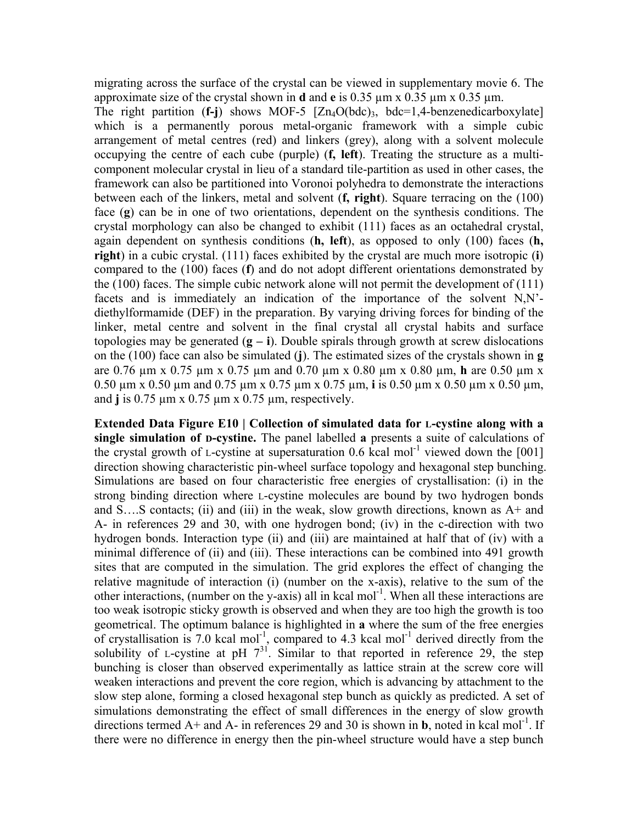migrating across the surface of the crystal can be viewed in supplementary movie 6. The approximate size of the crystal shown in **d** and **e** is 0.35 µm x 0.35 µm x 0.35 µm.

The right partition (**f-j**) shows MOF-5 [Zn4O(bdc)3, bdc=1,4-benzenedicarboxylate] which is a permanently porous metal-organic framework with a simple cubic arrangement of metal centres (red) and linkers (grey), along with a solvent molecule occupying the centre of each cube (purple) (**f, left**). Treating the structure as a multicomponent molecular crystal in lieu of a standard tile-partition as used in other cases, the framework can also be partitioned into Voronoi polyhedra to demonstrate the interactions between each of the linkers, metal and solvent (**f, right**). Square terracing on the (100) face (**g**) can be in one of two orientations, dependent on the synthesis conditions. The crystal morphology can also be changed to exhibit (111) faces as an octahedral crystal, again dependent on synthesis conditions (**h, left**), as opposed to only (100) faces (**h, right**) in a cubic crystal. (111) faces exhibited by the crystal are much more isotropic (**i**) compared to the (100) faces (**f**) and do not adopt different orientations demonstrated by the (100) faces. The simple cubic network alone will not permit the development of (111) facets and is immediately an indication of the importance of the solvent N,N' diethylformamide (DEF) in the preparation. By varying driving forces for binding of the linker, metal centre and solvent in the final crystal all crystal habits and surface topologies may be generated  $(g - i)$ . Double spirals through growth at screw dislocations on the (100) face can also be simulated (**j**). The estimated sizes of the crystals shown in **g** are 0.76 µm x 0.75 µm x 0.75 µm and 0.70 µm x 0.80 µm x 0.80 µm, **h** are 0.50 µm x 0.50 µm x 0.50 µm and 0.75 µm x 0.75 µm x 0.75 µm, **i** is 0.50 µm x 0.50 µm x 0.50 µm, and **j** is 0.75 µm x 0.75 µm x 0.75 µm, respectively.

**Extended Data Figure E10 | Collection of simulated data for L-cystine along with a single simulation of D-cystine.** The panel labelled **a** presents a suite of calculations of the crystal growth of L-cystine at supersaturation  $0.6$  kcal mol<sup>-1</sup> viewed down the [001] direction showing characteristic pin-wheel surface topology and hexagonal step bunching. Simulations are based on four characteristic free energies of crystallisation: (i) in the strong binding direction where L-cystine molecules are bound by two hydrogen bonds and S....S contacts; (ii) and (iii) in the weak, slow growth directions, known as  $A<sup>+</sup>$  and A- in references 29 and 30, with one hydrogen bond; (iv) in the c-direction with two hydrogen bonds. Interaction type (ii) and (iii) are maintained at half that of (iv) with a minimal difference of (ii) and (iii). These interactions can be combined into 491 growth sites that are computed in the simulation. The grid explores the effect of changing the relative magnitude of interaction (i) (number on the x-axis), relative to the sum of the other interactions, (number on the y-axis) all in kcal mol<sup>-1</sup>. When all these interactions are too weak isotropic sticky growth is observed and when they are too high the growth is too geometrical. The optimum balance is highlighted in **a** where the sum of the free energies of crystallisation is 7.0 kcal mol<sup>-1</sup>, compared to 4.3 kcal mol<sup>-1</sup> derived directly from the solubility of L-cystine at pH  $7^{31}$ . Similar to that reported in reference 29, the step bunching is closer than observed experimentally as lattice strain at the screw core will weaken interactions and prevent the core region, which is advancing by attachment to the slow step alone, forming a closed hexagonal step bunch as quickly as predicted. A set of simulations demonstrating the effect of small differences in the energy of slow growth directions termed  $A+$  and  $\overline{A}$ - in references 29 and 30 is shown in **b**, noted in kcal mol<sup>-1</sup>. If there were no difference in energy then the pin-wheel structure would have a step bunch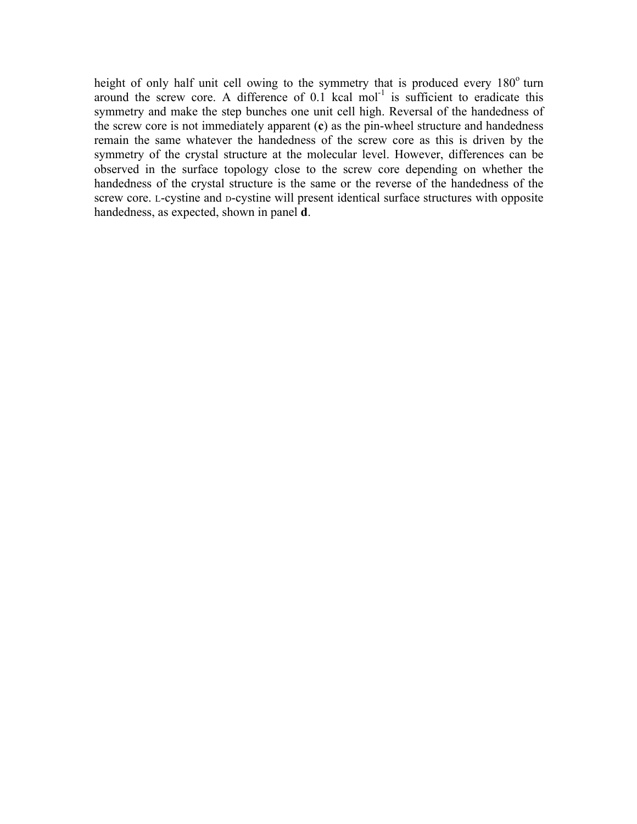height of only half unit cell owing to the symmetry that is produced every  $180^\circ$  turn around the screw core. A difference of  $0.1$  kcal mol<sup>-1</sup> is sufficient to eradicate this symmetry and make the step bunches one unit cell high. Reversal of the handedness of the screw core is not immediately apparent (**c**) as the pin-wheel structure and handedness remain the same whatever the handedness of the screw core as this is driven by the symmetry of the crystal structure at the molecular level. However, differences can be observed in the surface topology close to the screw core depending on whether the handedness of the crystal structure is the same or the reverse of the handedness of the screw core. L-cystine and D-cystine will present identical surface structures with opposite handedness, as expected, shown in panel **d**.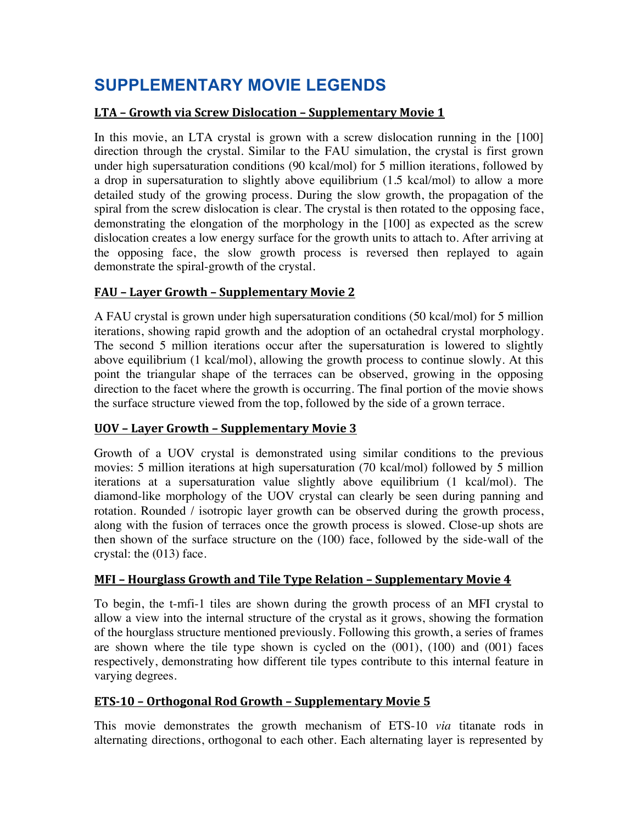# **SUPPLEMENTARY MOVIE LEGENDS**

#### **LTA** – Growth via Screw Dislocation – Supplementary Movie 1

In this movie, an LTA crystal is grown with a screw dislocation running in the [100] direction through the crystal. Similar to the FAU simulation, the crystal is first grown under high supersaturation conditions (90 kcal/mol) for 5 million iterations, followed by a drop in supersaturation to slightly above equilibrium (1.5 kcal/mol) to allow a more detailed study of the growing process. During the slow growth, the propagation of the spiral from the screw dislocation is clear. The crystal is then rotated to the opposing face, demonstrating the elongation of the morphology in the [100] as expected as the screw dislocation creates a low energy surface for the growth units to attach to. After arriving at the opposing face, the slow growth process is reversed then replayed to again demonstrate the spiral-growth of the crystal.

#### **FAU – Layer Growth – Supplementary Movie 2**

A FAU crystal is grown under high supersaturation conditions (50 kcal/mol) for 5 million iterations, showing rapid growth and the adoption of an octahedral crystal morphology. The second 5 million iterations occur after the supersaturation is lowered to slightly above equilibrium (1 kcal/mol), allowing the growth process to continue slowly. At this point the triangular shape of the terraces can be observed, growing in the opposing direction to the facet where the growth is occurring. The final portion of the movie shows the surface structure viewed from the top, followed by the side of a grown terrace.

#### **<u>UOV – Layer Growth – Supplementary Movie 3</u>**

Growth of a UOV crystal is demonstrated using similar conditions to the previous movies: 5 million iterations at high supersaturation (70 kcal/mol) followed by 5 million iterations at a supersaturation value slightly above equilibrium (1 kcal/mol). The diamond-like morphology of the UOV crystal can clearly be seen during panning and rotation. Rounded / isotropic layer growth can be observed during the growth process, along with the fusion of terraces once the growth process is slowed. Close-up shots are then shown of the surface structure on the (100) face, followed by the side-wall of the crystal: the (013) face.

#### **MFI - Hourglass Growth and Tile Type Relation - Supplementary Movie 4**

To begin, the t-mfi-1 tiles are shown during the growth process of an MFI crystal to allow a view into the internal structure of the crystal as it grows, showing the formation of the hourglass structure mentioned previously. Following this growth, a series of frames are shown where the tile type shown is cycled on the (001), (100) and (001) faces respectively, demonstrating how different tile types contribute to this internal feature in varying degrees.

#### **ETS-10 - Orthogonal Rod Growth - Supplementary Movie 5**

This movie demonstrates the growth mechanism of ETS-10 *via* titanate rods in alternating directions, orthogonal to each other. Each alternating layer is represented by